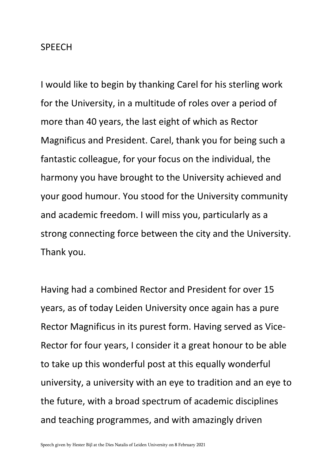## SPEECH

I would like to begin by thanking Carel for his sterling work for the University, in a multitude of roles over a period of more than 40 years, the last eight of which as Rector Magnificus and President. Carel, thank you for being such a fantastic colleague, for your focus on the individual, the harmony you have brought to the University achieved and your good humour. You stood for the University community and academic freedom. I will miss you, particularly as a strong connecting force between the city and the University. Thank you.

Having had a combined Rector and President for over 15 years, as of today Leiden University once again has a pure Rector Magnificus in its purest form. Having served as Vice-Rector for four years, I consider it a great honour to be able to take up this wonderful post at this equally wonderful university, a university with an eye to tradition and an eye to the future, with a broad spectrum of academic disciplines and teaching programmes, and with amazingly driven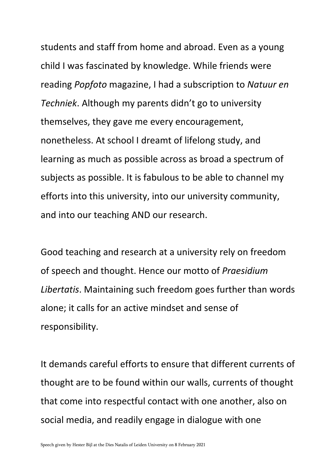students and staff from home and abroad. Even as a young child I was fascinated by knowledge. While friends were reading *Popfoto* magazine, I had a subscription to *Natuur en Techniek*. Although my parents didn't go to university themselves, they gave me every encouragement, nonetheless. At school I dreamt of lifelong study, and learning as much as possible across as broad a spectrum of subjects as possible. It is fabulous to be able to channel my efforts into this university, into our university community, and into our teaching AND our research.

Good teaching and research at a university rely on freedom of speech and thought. Hence our motto of *Praesidium Libertatis*. Maintaining such freedom goes further than words alone; it calls for an active mindset and sense of responsibility.

It demands careful efforts to ensure that different currents of thought are to be found within our walls, currents of thought that come into respectful contact with one another, also on social media, and readily engage in dialogue with one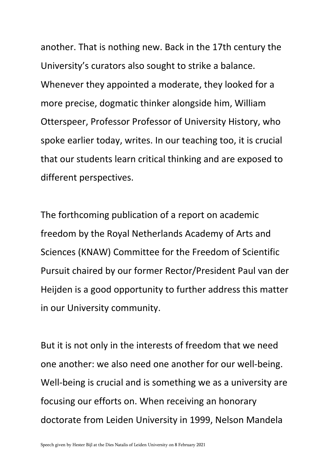another. That is nothing new. Back in the 17th century the University's curators also sought to strike a balance. Whenever they appointed a moderate, they looked for a more precise, dogmatic thinker alongside him, William Otterspeer, Professor Professor of University History, who spoke earlier today, writes. In our teaching too, it is crucial that our students learn critical thinking and are exposed to different perspectives.

The forthcoming publication of a report on academic freedom by the Royal Netherlands Academy of Arts and Sciences (KNAW) Committee for the Freedom of Scientific Pursuit chaired by our former Rector/President Paul van der Heijden is a good opportunity to further address this matter in our University community.

But it is not only in the interests of freedom that we need one another: we also need one another for our well-being. Well-being is crucial and is something we as a university are focusing our efforts on. When receiving an honorary doctorate from Leiden University in 1999, Nelson Mandela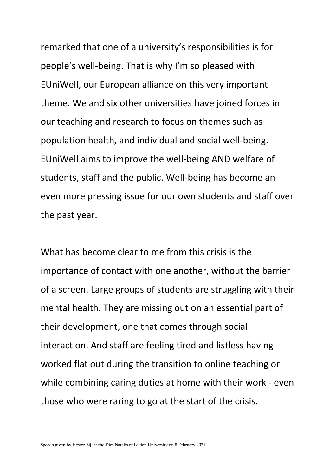remarked that one of a university's responsibilities is for people's well-being. That is why I'm so pleased with EUniWell, our European alliance on this very important theme. We and six other universities have joined forces in our teaching and research to focus on themes such as population health, and individual and social well-being. EUniWell aims to improve the well-being AND welfare of students, staff and the public. Well-being has become an even more pressing issue for our own students and staff over the past year.

What has become clear to me from this crisis is the importance of contact with one another, without the barrier of a screen. Large groups of students are struggling with their mental health. They are missing out on an essential part of their development, one that comes through social interaction. And staff are feeling tired and listless having worked flat out during the transition to online teaching or while combining caring duties at home with their work - even those who were raring to go at the start of the crisis.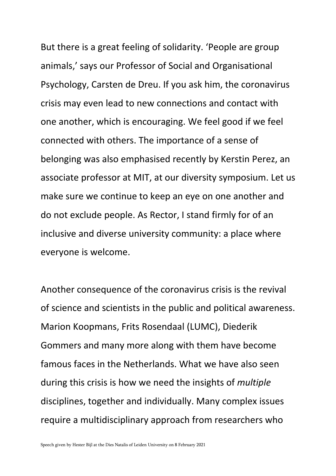But there is a great feeling of solidarity. 'People are group animals,' says our Professor of Social and Organisational Psychology, Carsten de Dreu. If you ask him, the coronavirus crisis may even lead to new connections and contact with one another, which is encouraging. We feel good if we feel connected with others. The importance of a sense of belonging was also emphasised recently by Kerstin Perez, an associate professor at MIT, at our diversity symposium. Let us make sure we continue to keep an eye on one another and do not exclude people. As Rector, I stand firmly for of an inclusive and diverse university community: a place where everyone is welcome.

Another consequence of the coronavirus crisis is the revival of science and scientists in the public and political awareness. Marion Koopmans, Frits Rosendaal (LUMC), Diederik Gommers and many more along with them have become famous faces in the Netherlands. What we have also seen during this crisis is how we need the insights of *multiple* disciplines, together and individually. Many complex issues require a multidisciplinary approach from researchers who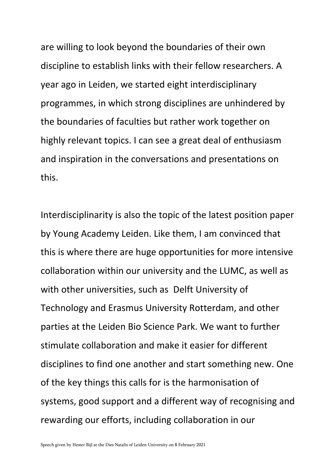are willing to look beyond the boundaries of their own discipline to establish links with their fellow researchers. A year ago in Leiden, we started eight interdisciplinary programmes, in which strong disciplines are unhindered by the boundaries of faculties but rather work together on highly relevant topics. I can see a great deal of enthusiasm and inspiration in the conversations and presentations on this.

Interdisciplinarity is also the topic of the latest position paper by Young Academy Leiden. Like them, I am convinced that this is where there are huge opportunities for more intensive collaboration within our university and the LUMC, as well as with other universities, such as Delft University of Technology and Erasmus University Rotterdam, and other parties at the Leiden Bio Science Park. We want to further stimulate collaboration and make it easier for different disciplines to find one another and start something new. One of the key things this calls for is the harmonisation of systems, good support and a different way of recognising and rewarding our efforts, including collaboration in our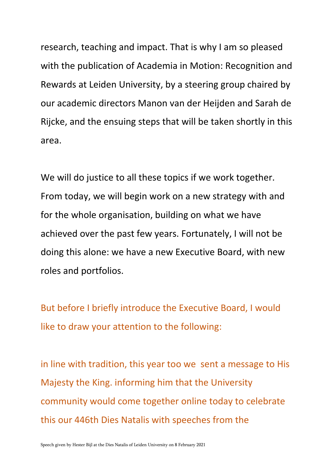research, teaching and impact. That is why I am so pleased with the publication of Academia in Motion: Recognition and Rewards at Leiden University, by a steering group chaired by our academic directors Manon van der Heijden and Sarah de Rijcke, and the ensuing steps that will be taken shortly in this area.

We will do justice to all these topics if we work together. From today, we will begin work on a new strategy with and for the whole organisation, building on what we have achieved over the past few years. Fortunately, I will not be doing this alone: we have a new Executive Board, with new roles and portfolios.

But before I briefly introduce the Executive Board, I would like to draw your attention to the following:

in line with tradition, this year too we sent a message to His Majesty the King. informing him that the University community would come together online today to celebrate this our 446th Dies Natalis with speeches from the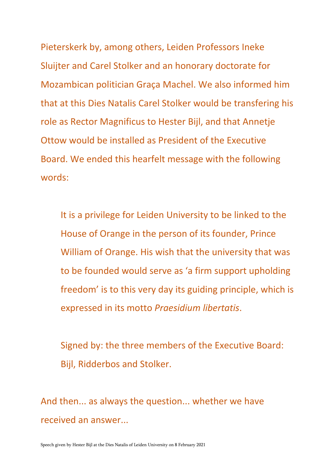Pieterskerk by, among others, Leiden Professors Ineke Sluijter and Carel Stolker and an honorary doctorate for Mozambican politician Graça Machel. We also informed him that at this Dies Natalis Carel Stolker would be transfering his role as Rector Magnificus to Hester Bijl, and that Annetje Ottow would be installed as President of the Executive Board. We ended this hearfelt message with the following words:

It is a privilege for Leiden University to be linked to the House of Orange in the person of its founder, Prince William of Orange. His wish that the university that was to be founded would serve as 'a firm support upholding freedom' is to this very day its guiding principle, which is expressed in its motto *Praesidium libertatis*.

Signed by: the three members of the Executive Board: Bijl, Ridderbos and Stolker.

And then... as always the question... whether we have received an answer...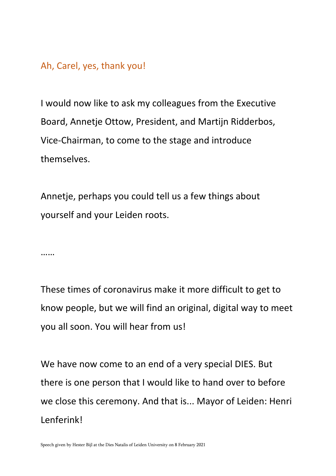## Ah, Carel, yes, thank you!

I would now like to ask my colleagues from the Executive Board, Annetje Ottow, President, and Martijn Ridderbos, Vice-Chairman, to come to the stage and introduce themselves.

Annetje, perhaps you could tell us a few things about yourself and your Leiden roots.

……

These times of coronavirus make it more difficult to get to know people, but we will find an original, digital way to meet you all soon. You will hear from us!

We have now come to an end of a very special DIES. But there is one person that I would like to hand over to before we close this ceremony. And that is... Mayor of Leiden: Henri Lenferink!